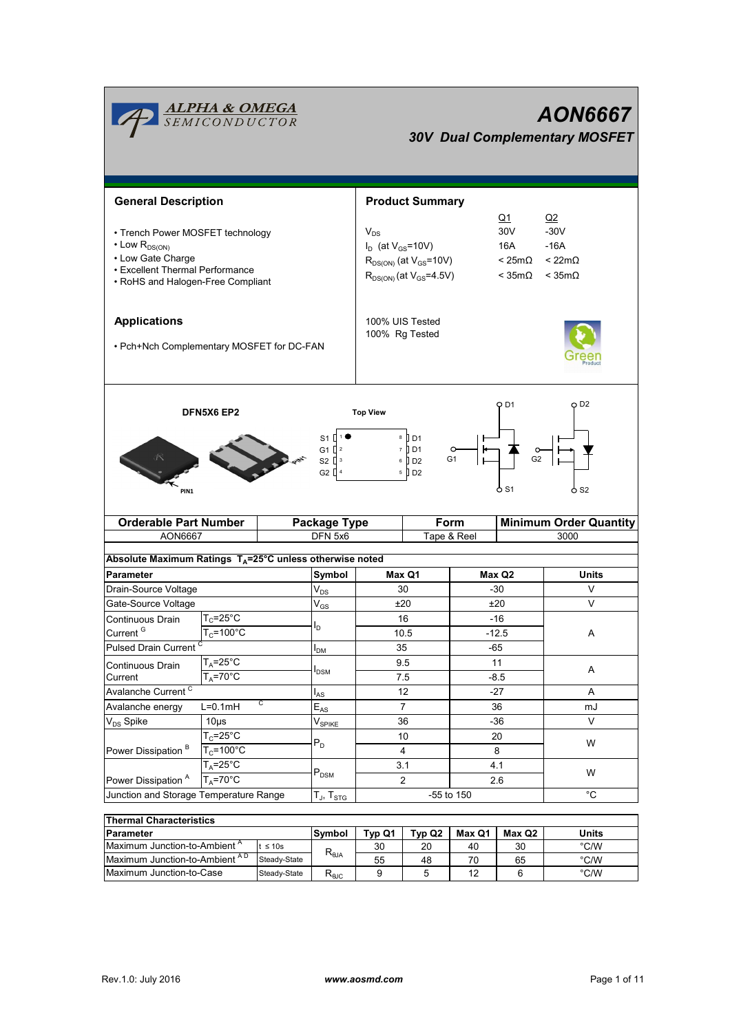| <b>ALPHA &amp; OMEGA</b><br>SEMICONDUCTOR<br><b>AON6667</b><br><b>30V Dual Complementary MOSFET</b>                                                                                                                                                                                      |                       |                               |                                                                                                                                                                           |                |             |                                                                     |                               |  |
|------------------------------------------------------------------------------------------------------------------------------------------------------------------------------------------------------------------------------------------------------------------------------------------|-----------------------|-------------------------------|---------------------------------------------------------------------------------------------------------------------------------------------------------------------------|----------------|-------------|---------------------------------------------------------------------|-------------------------------|--|
| <b>General Description</b>                                                                                                                                                                                                                                                               |                       |                               | <b>Product Summary</b>                                                                                                                                                    |                |             |                                                                     |                               |  |
| • Trench Power MOSFET technology<br>$\cdot$ Low $R_{DS(ON)}$<br>• Low Gate Charge<br>• Excellent Thermal Performance<br>• RoHS and Halogen-Free Compliant                                                                                                                                |                       |                               | $Q_1$<br>30V<br>$V_{DS}$<br>$I_D$ (at $V_{GS}$ =10V)<br>16A<br>$R_{DS(ON)}$ (at $V_{GS}$ =10V)<br>$< 25m\Omega$<br>$R_{DS(ON)}$ (at $V_{GS} = 4.5V$ )<br>$<$ 35m $\Omega$ |                |             | Q2<br>$-30V$<br>$-16A$<br>$< 22 \text{m}\Omega$<br>$<$ 35m $\Omega$ |                               |  |
| <b>Applications</b><br>• Pch+Nch Complementary MOSFET for DC-FAN                                                                                                                                                                                                                         |                       |                               | 100% UIS Tested<br>100% Rg Tested                                                                                                                                         |                |             |                                                                     |                               |  |
| O D <sub>2</sub><br>O D1<br><b>DFN5X6 EP2</b><br><b>Top View</b><br>$8$ D <sub>1</sub><br>S1 D <sup>1</sup><br>$7$ D <sub>1</sub><br>G1 $2^2$<br>G <sub>2</sub><br>G1<br>S2 $\left[\begin{smallmatrix} 3 \end{smallmatrix}\right]$<br>$6$ D <sub>2</sub><br>G2 [<br>5 D2<br>o S1<br>PIN1 |                       |                               |                                                                                                                                                                           |                |             | o s2                                                                |                               |  |
| <b>Orderable Part Number</b>                                                                                                                                                                                                                                                             |                       | <b>Package Type</b>           |                                                                                                                                                                           |                | Form        |                                                                     | <b>Minimum Order Quantity</b> |  |
| <b>AON6667</b>                                                                                                                                                                                                                                                                           |                       | DFN 5x6                       |                                                                                                                                                                           |                | Tape & Reel | 3000                                                                |                               |  |
|                                                                                                                                                                                                                                                                                          |                       |                               |                                                                                                                                                                           |                |             |                                                                     |                               |  |
| Absolute Maximum Ratings $T_A = 25^\circ C$ unless otherwise noted                                                                                                                                                                                                                       |                       |                               |                                                                                                                                                                           |                |             |                                                                     |                               |  |
| <b>Parameter</b>                                                                                                                                                                                                                                                                         |                       | Symbol                        |                                                                                                                                                                           | Max Q1         |             | Max Q2                                                              | <b>Units</b>                  |  |
| Drain-Source Voltage                                                                                                                                                                                                                                                                     |                       | $\mathsf{V}_{\mathsf{DS}}$    |                                                                                                                                                                           | 30             | $-30$       |                                                                     | V                             |  |
| Gate-Source Voltage                                                                                                                                                                                                                                                                      |                       | $V_{GS}$                      | ±20                                                                                                                                                                       |                |             | ±20                                                                 | V                             |  |
| Continuous Drain                                                                                                                                                                                                                                                                         | $T_c = 25^{\circ}$ C  |                               | 16                                                                                                                                                                        |                | $-16$       |                                                                     |                               |  |
| Current <sup>G</sup>                                                                                                                                                                                                                                                                     | $T_c = 100^{\circ}$ C | ı,                            | 10.5                                                                                                                                                                      |                | $-12.5$     |                                                                     | A                             |  |
| Pulsed Drain Current <sup>C</sup>                                                                                                                                                                                                                                                        |                       |                               | 35                                                                                                                                                                        |                |             | $-65$                                                               |                               |  |
| Continuous Drain                                                                                                                                                                                                                                                                         | $T_A = 25^\circ C$    | $I_{DM}$                      |                                                                                                                                                                           | 9.5            | 11          |                                                                     |                               |  |
| Current                                                                                                                                                                                                                                                                                  | $T_A = 70^\circ C$    | <b>I</b> <sub>DSM</sub>       |                                                                                                                                                                           | 7.5            |             | $-8.5$                                                              | Α                             |  |
| Avalanche Current <sup>C</sup>                                                                                                                                                                                                                                                           |                       | $I_{AS}$                      | 12                                                                                                                                                                        |                |             | $-27$                                                               | A                             |  |
| C<br>Avalanche energy<br>$L=0.1mH$                                                                                                                                                                                                                                                       |                       | $E_{AS}$                      |                                                                                                                                                                           | $\overline{7}$ | 36          |                                                                     | mJ                            |  |
| $V_{DS}$ Spike                                                                                                                                                                                                                                                                           | $10\mus$              |                               |                                                                                                                                                                           | 36             |             | $-36$                                                               | V                             |  |
|                                                                                                                                                                                                                                                                                          | $T_c = 25^\circ C$    | $\mathsf{V}_{\mathsf{SPIKE}}$ |                                                                                                                                                                           | 10             |             | 20                                                                  |                               |  |
| Power Dissipation <sup>B</sup>                                                                                                                                                                                                                                                           | $T_c = 100^{\circ}$ C | $P_D$                         |                                                                                                                                                                           | 4              |             | 8                                                                   | W                             |  |
|                                                                                                                                                                                                                                                                                          | $T_A = 25^\circ C$    |                               | 3.1                                                                                                                                                                       |                |             | 4.1                                                                 |                               |  |
| Power Dissipation <sup>A</sup><br>$T_A = 70$ °C                                                                                                                                                                                                                                          |                       | $\mathsf{P}_\mathsf{DSM}$     |                                                                                                                                                                           | $\overline{2}$ |             | 2.6                                                                 | W                             |  |
| Junction and Storage Temperature Range                                                                                                                                                                                                                                                   | $T_J$ , $T_{STG}$     | °C<br>-55 to 150              |                                                                                                                                                                           |                |             |                                                                     |                               |  |
|                                                                                                                                                                                                                                                                                          |                       |                               |                                                                                                                                                                           |                |             |                                                                     |                               |  |

| <b>Thermal Characteristics</b>           |               |                        |        |        |        |       |               |
|------------------------------------------|---------------|------------------------|--------|--------|--------|-------|---------------|
| <b>Parameter</b>                         | lSvmbol       | Tvp Q1                 | Tvp Q2 | Max Q1 | Max Q2 | Units |               |
| Maximum Junction-to-Ambient <sup>"</sup> | t $\leq 10$ s | $R_{\theta JA}$        | 30     | 20     | 40     | 30    | °C/W          |
| AD<br>Maximum Junction-to-Ambient        | Steady-State  |                        | 55     | 48     | 70     | 65    | $\degree$ C/W |
| <b>IMaximum Junction-to-Case</b>         | Steady-State  | $R_{\theta \text{JC}}$ |        |        | 12     |       | °C/W          |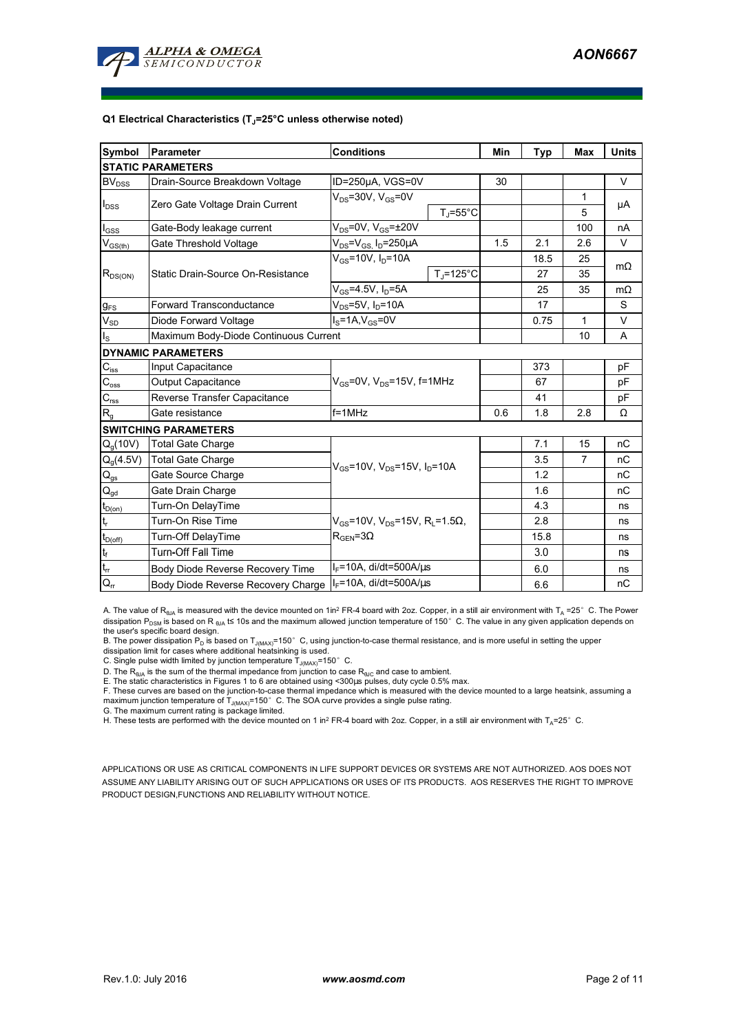

#### **Q1 Electrical Characteristics (TJ=25°C unless otherwise noted)**

| Symbol                                 | Parameter                             | <b>Conditions</b>                                                   | Min | <b>Typ</b> | Max            | <b>Units</b> |  |  |
|----------------------------------------|---------------------------------------|---------------------------------------------------------------------|-----|------------|----------------|--------------|--|--|
| <b>STATIC PARAMETERS</b>               |                                       |                                                                     |     |            |                |              |  |  |
| BV <sub>DSS</sub>                      | Drain-Source Breakdown Voltage        | ID=250µA, VGS=0V                                                    | 30  |            |                | V            |  |  |
| $I_{DSS}$                              | Zero Gate Voltage Drain Current       | $V_{DS}$ =30V, $V_{GS}$ =0V                                         |     |            | 1              | μA           |  |  |
|                                        |                                       | $T_J = 55^{\circ}C$                                                 |     |            | 5              |              |  |  |
| $I_{\rm GSS}$                          | Gate-Body leakage current             | $V_{DS}$ =0V, $V_{GS}$ = $\pm$ 20V                                  |     |            | 100            | nA           |  |  |
| $V_{GS(th)}$                           | Gate Threshold Voltage                | $V_{DS} = V_{GS}$ , $I_D = 250 \mu A$                               | 1.5 | 2.1        | 2.6            | V            |  |  |
|                                        | Static Drain-Source On-Resistance     | $V_{GS} = 10V$ , $I_D = 10A$                                        |     | 18.5       | 25             | $m\Omega$    |  |  |
| $R_{DS(ON)}$                           |                                       | $T_{\rm J}$ =125°C                                                  |     | 27         | 35             |              |  |  |
|                                        |                                       | $V_{GS} = 4.5V, I_D = 5A$                                           |     | 25         | 35             | $m\Omega$    |  |  |
| $g_{FS}$                               | <b>Forward Transconductance</b>       | $V_{DS}$ =5V, $I_D$ =10A                                            |     | 17         |                | S            |  |  |
| $V_{SD}$                               | Diode Forward Voltage                 | $I_S = 1A, V_{GS} = 0V$                                             |     | 0.75       | $\mathbf{1}$   | V            |  |  |
| $I_{\rm S}$                            | Maximum Body-Diode Continuous Current |                                                                     |     |            | 10             | A            |  |  |
|                                        | <b>DYNAMIC PARAMETERS</b>             |                                                                     |     |            |                |              |  |  |
| $\mathbf{C}_{\mathsf{iss}}$            | Input Capacitance                     |                                                                     |     | 373        |                | pF           |  |  |
| $C_{\text{oss}}$                       | Output Capacitance                    | $V_{GS}$ =0V, $V_{DS}$ =15V, f=1MHz                                 |     | 67         |                | pF           |  |  |
| $C_{\text{rss}}$                       | Reverse Transfer Capacitance          |                                                                     |     | 41         |                | pF           |  |  |
| R <sub>g</sub>                         | Gate resistance                       | $f = 1$ MHz                                                         | 0.6 | 1.8        | 2.8            | Ω            |  |  |
| <b>SWITCHING PARAMETERS</b>            |                                       |                                                                     |     |            |                |              |  |  |
| $Q_q(10V)$                             | <b>Total Gate Charge</b>              |                                                                     |     | 7.1        | 15             | nC           |  |  |
| $Q_g(4.5V)$                            | <b>Total Gate Charge</b>              | $V_{GS}$ =10V, $V_{DS}$ =15V, $I_{D}$ =10A                          |     | 3.5        | $\overline{7}$ | nC           |  |  |
| $Q_{gs}$                               | Gate Source Charge                    |                                                                     |     | 1.2        |                | nC           |  |  |
| $\mathsf{Q}_{\underline{\mathsf{gd}}}$ | Gate Drain Charge                     |                                                                     |     | 1.6        |                | nC           |  |  |
| $t_{D(0n)}$                            | Turn-On DelayTime                     |                                                                     |     | 4.3        |                | ns           |  |  |
| $t_r$                                  | Turn-On Rise Time                     | $V_{GS}$ =10V, V <sub>DS</sub> =15V, R <sub>L</sub> =1.5 $\Omega$ , |     | 2.8        |                | ns           |  |  |
| $t_{D(off)}$                           | Turn-Off DelayTime                    | $R_{\text{GEN}} = 3\Omega$                                          |     | 15.8       |                | ns           |  |  |
| $\mathbf{t}_\text{f}$                  | <b>Turn-Off Fall Time</b>             |                                                                     |     | 3.0        |                | ns           |  |  |
| $t_{\rm rr}$                           | Body Diode Reverse Recovery Time      | $I_F$ =10A, di/dt=500A/ $\mu$ s                                     |     | 6.0        |                | ns           |  |  |
| $Q_{rr}$                               | Body Diode Reverse Recovery Charge    | IF=10A, di/dt=500A/us                                               |     | 6.6        |                | пC           |  |  |

A. The value of  $R_{\theta JA}$  is measured with the device mounted on 1in<sup>2</sup> FR-4 board with 2oz. Copper, in a still air environment with T<sub>A</sub> =25°C. The Power dissipation P<sub>DSM</sub> is based on R <sub>θJA</sub> t≤ 10s and the maximum allowed junction temperature of 150°C. The value in any given application depends on

the user's specific board design.<br>B. The power dissipation P<sub>D</sub> is based on T<sub>J(MAX)</sub>=150° C, using junction-to-case thermal resistance, and is more useful in setting the upper<br>dissipation limit for cases where additional

D. The  $R_{\theta J\Delta}$  is the sum of the thermal impedance from junction to case  $R_{\theta JC}$  and case to ambient. E. The static characteristics in Figures 1 to 6 are obtained using <300us pulses, duty cycle 0.5% max.

F. These curves are based on the junction-to-case thermal impedance which is measured with the device mounted to a large heatsink, assuming a maximum junction temperature of  $T_{J(MAX)}$ =150°C. The SOA curve provides a single pulse rating.

G. The maximum current rating is package limited.

H. These tests are performed with the device mounted on 1 in<sup>2</sup> FR-4 board with 2oz. Copper, in a still air environment with T<sub>A</sub>=25°C.

APPLICATIONS OR USE AS CRITICAL COMPONENTS IN LIFE SUPPORT DEVICES OR SYSTEMS ARE NOT AUTHORIZED. AOS DOES NOT ASSUME ANY LIABILITY ARISING OUT OF SUCH APPLICATIONS OR USES OF ITS PRODUCTS. AOS RESERVES THE RIGHT TO IMPROVE PRODUCT DESIGN,FUNCTIONS AND RELIABILITY WITHOUT NOTICE.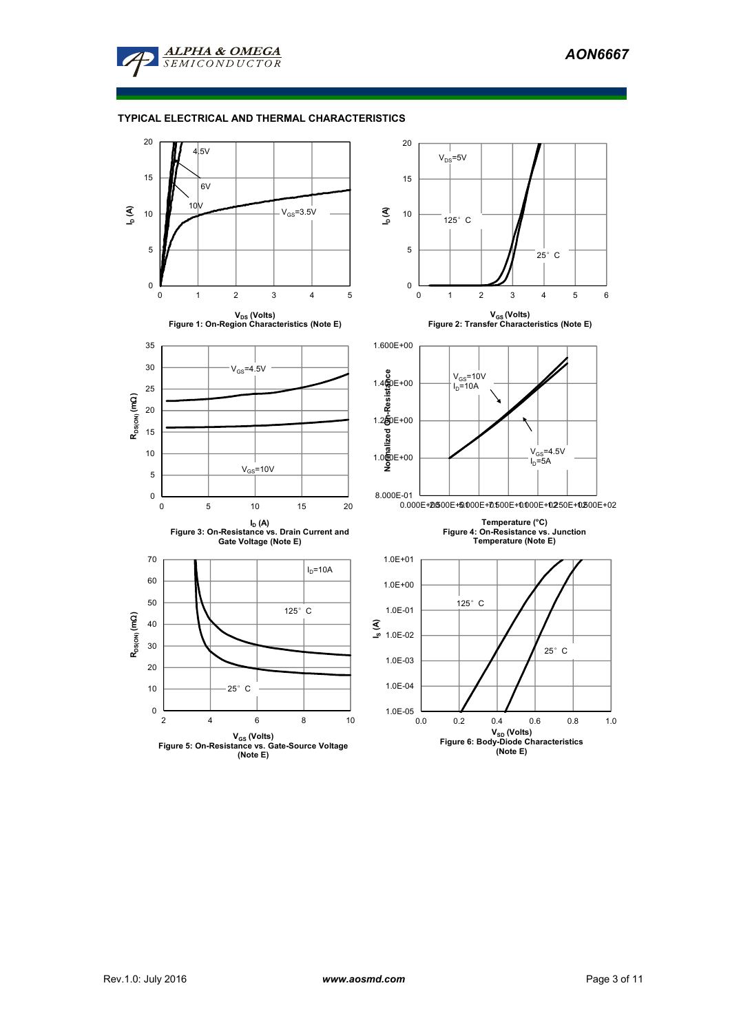

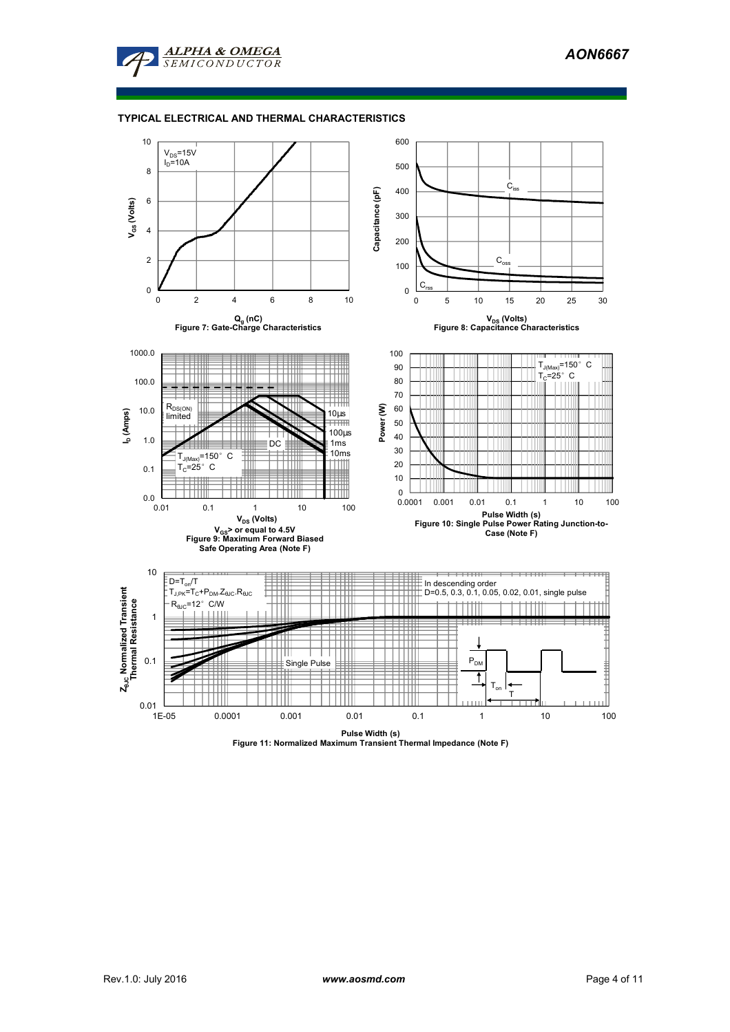

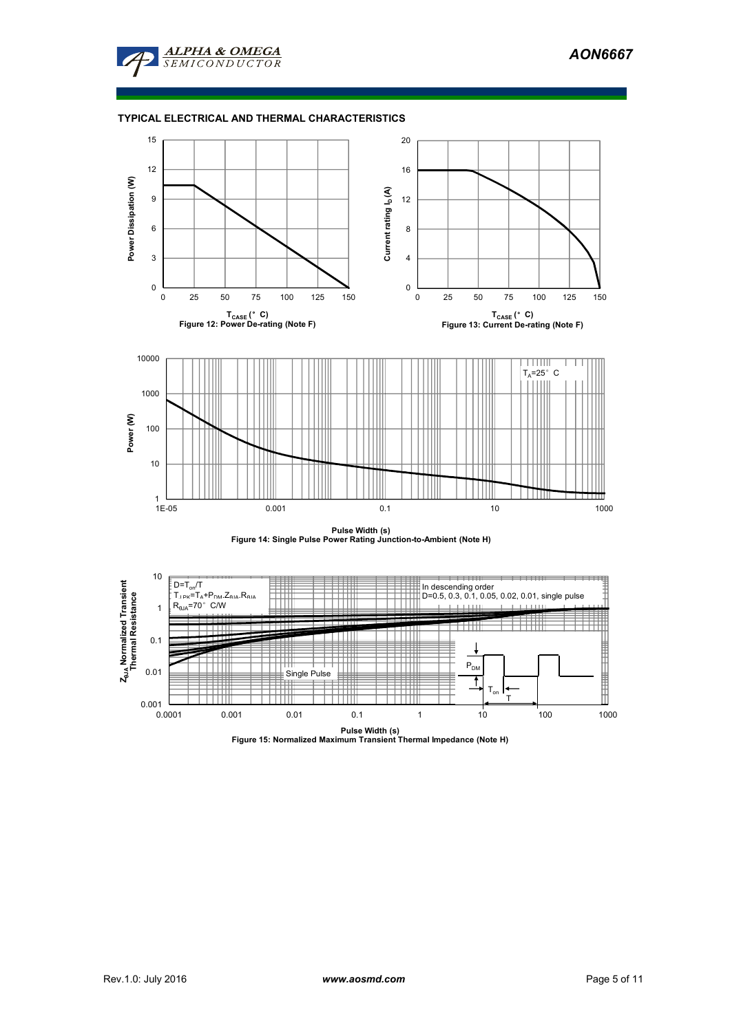





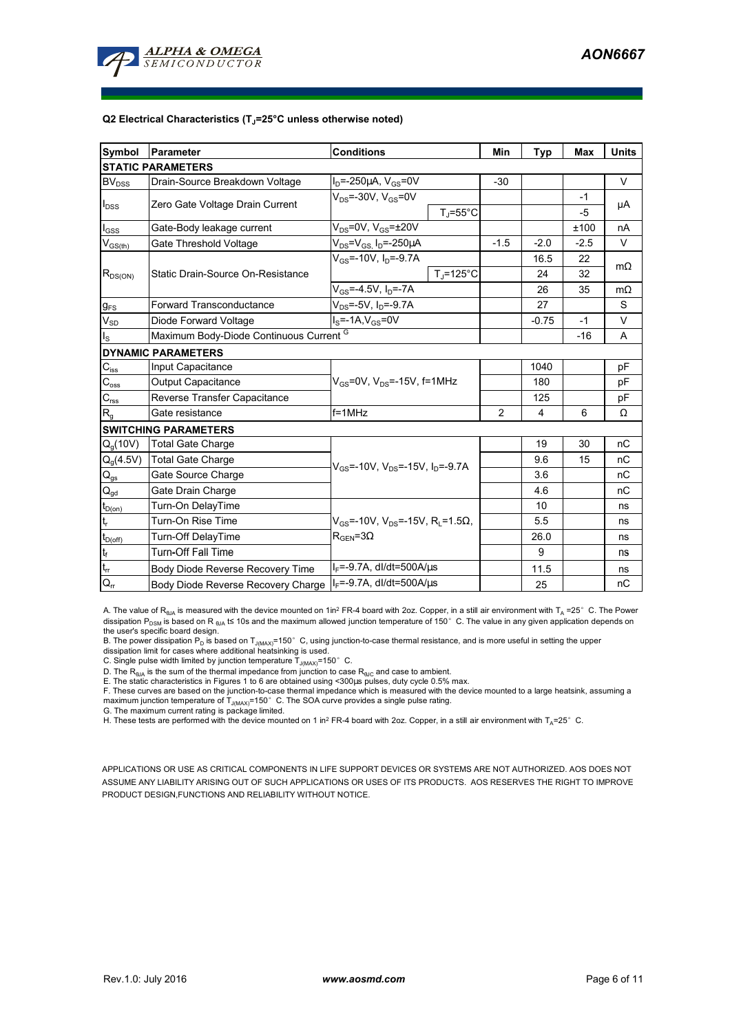

#### **Q2 Electrical Characteristics (TJ=25°C unless otherwise noted)**

| <b>Symbol</b>                           | Parameter                               | <b>Conditions</b>                                                            | Min            | Typ     | Max    | <b>Units</b> |  |  |
|-----------------------------------------|-----------------------------------------|------------------------------------------------------------------------------|----------------|---------|--------|--------------|--|--|
| <b>STATIC PARAMETERS</b>                |                                         |                                                                              |                |         |        |              |  |  |
| BV <sub>DSS</sub>                       | Drain-Source Breakdown Voltage          | $I_D = -250 \mu A$ , $V_{GS} = 0V$                                           | $-30$          |         |        | V            |  |  |
| $I_{DSS}$                               | Zero Gate Voltage Drain Current         | $V_{DS}$ =-30V, $V_{GS}$ =0V                                                 |                |         | $-1$   | μA           |  |  |
|                                         |                                         | $T_{\rm J}$ =55°C                                                            |                |         | $-5$   |              |  |  |
| $I_{GSS}$                               | Gate-Body leakage current               | $V_{DS}$ =0V, $V_{GS}$ = $\pm$ 20V                                           |                |         | ±100   | nA           |  |  |
| $\mathsf{V}_{\mathsf{GS}(\mathsf{th})}$ | Gate Threshold Voltage                  | $V_{DS}$ = $V_{GS}$ , $I_D$ =-250 $\mu$ A                                    | $-1.5$         | $-2.0$  | $-2.5$ | V            |  |  |
|                                         |                                         | $V_{cs}$ =-10V, $I_0$ =-9.7A                                                 |                | 16.5    | 22     | $m\Omega$    |  |  |
| $R_{DS(ON)}$                            | Static Drain-Source On-Resistance       | $T_{\rm J}$ =125°C                                                           |                | 24      | 32     |              |  |  |
|                                         |                                         | $V_{GS} = -4.5V, I_D = -7A$                                                  |                | 26      | 35     | $m\Omega$    |  |  |
| $g_{FS}$                                | <b>Forward Transconductance</b>         | $V_{DS}$ =-5V, $I_D$ =-9.7A                                                  |                | 27      |        | S            |  |  |
| $V_{SD}$                                | Diode Forward Voltage                   | $I_S = -1A, V_{GS} = 0V$                                                     |                | $-0.75$ | $-1$   | $\vee$       |  |  |
| $I_{\rm S}$                             | Maximum Body-Diode Continuous Current G |                                                                              |                |         | $-16$  | A            |  |  |
| <b>DYNAMIC PARAMETERS</b>               |                                         |                                                                              |                |         |        |              |  |  |
| $\mathbf{C}_{\mathsf{iss}}$             | Input Capacitance                       |                                                                              |                | 1040    |        | pF           |  |  |
| $C_{\text{oss}}$                        | Output Capacitance                      | $V_{GS}$ =0V, $V_{DS}$ =-15V, f=1MHz                                         |                | 180     |        | pF           |  |  |
| $C_{\text{rss}}$                        | Reverse Transfer Capacitance            |                                                                              |                | 125     |        | pF           |  |  |
| R <sub>g</sub>                          | Gate resistance                         | $f = 1$ MHz                                                                  | $\overline{2}$ | 4       | 6      | Ω            |  |  |
| <b>SWITCHING PARAMETERS</b>             |                                         |                                                                              |                |         |        |              |  |  |
| $Q_q(10V)$                              | <b>Total Gate Charge</b>                |                                                                              |                | 19      | 30     | nC           |  |  |
| $Q_g(4.5V)$                             | <b>Total Gate Charge</b>                | $V_{GS}$ =-10V, $V_{DS}$ =-15V, $I_D$ =-9.7A                                 |                | 9.6     | 15     | nC           |  |  |
| $Q_{gs}$                                | Gate Source Charge                      |                                                                              |                | 3.6     |        | nC           |  |  |
| $Q_{gd}$                                | Gate Drain Charge                       |                                                                              |                | 4.6     |        | nC           |  |  |
| $t_{D(0n)}$                             | Turn-On DelayTime                       |                                                                              |                | 10      |        | ns           |  |  |
| t,                                      | Turn-On Rise Time                       | $V_{\text{gs}}$ =-10V, V <sub>DS</sub> =-15V, R <sub>1</sub> =1.5 $\Omega$ , |                | 5.5     |        | ns           |  |  |
| $t_{D(off)}$                            | Turn-Off DelayTime                      | $R_{\text{GEN}} = 3\Omega$                                                   |                | 26.0    |        | ns           |  |  |
| $\mathbf{t}_\text{f}$                   | <b>Turn-Off Fall Time</b>               |                                                                              |                | 9       |        | ns           |  |  |
| $t_{\rm rr}$                            | Body Diode Reverse Recovery Time        | $I_F = -9.7A$ , dl/dt=500A/ $\mu$ s                                          |                | 11.5    |        | ns           |  |  |
| $Q_{rr}$                                | Body Diode Reverse Recovery Charge      | $I_F$ =-9.7A, dl/dt=500A/ $\mu$ s                                            |                | 25      |        | пC           |  |  |

A. The value of  $R_{\theta JA}$  is measured with the device mounted on 1in<sup>2</sup> FR-4 board with 2oz. Copper, in a still air environment with T<sub>A</sub> =25°C. The Power dissipation P<sub>DSM</sub> is based on R <sub>θJA</sub> t≤ 10s and the maximum allowed junction temperature of 150°C. The value in any given application depends on

the user's specific board design.<br>B. The power dissipation P<sub>D</sub> is based on T<sub>J(MAX)</sub>=150° C, using junction-to-case thermal resistance, and is more useful in setting the upper<br>dissipation limit for cases where additional

D. The  $R_{\theta J\Delta}$  is the sum of the thermal impedance from junction to case  $R_{\theta JC}$  and case to ambient. E. The static characteristics in Figures 1 to 6 are obtained using <300us pulses, duty cycle 0.5% max.

F. These curves are based on the junction-to-case thermal impedance which is measured with the device mounted to a large heatsink, assuming a maximum junction temperature of  $T_{J(MAX)}$ =150°C. The SOA curve provides a single pulse rating.

G. The maximum current rating is package limited.

H. These tests are performed with the device mounted on 1 in<sup>2</sup> FR-4 board with 2oz. Copper, in a still air environment with T<sub>A</sub>=25°C.

APPLICATIONS OR USE AS CRITICAL COMPONENTS IN LIFE SUPPORT DEVICES OR SYSTEMS ARE NOT AUTHORIZED. AOS DOES NOT ASSUME ANY LIABILITY ARISING OUT OF SUCH APPLICATIONS OR USES OF ITS PRODUCTS. AOS RESERVES THE RIGHT TO IMPROVE PRODUCT DESIGN,FUNCTIONS AND RELIABILITY WITHOUT NOTICE.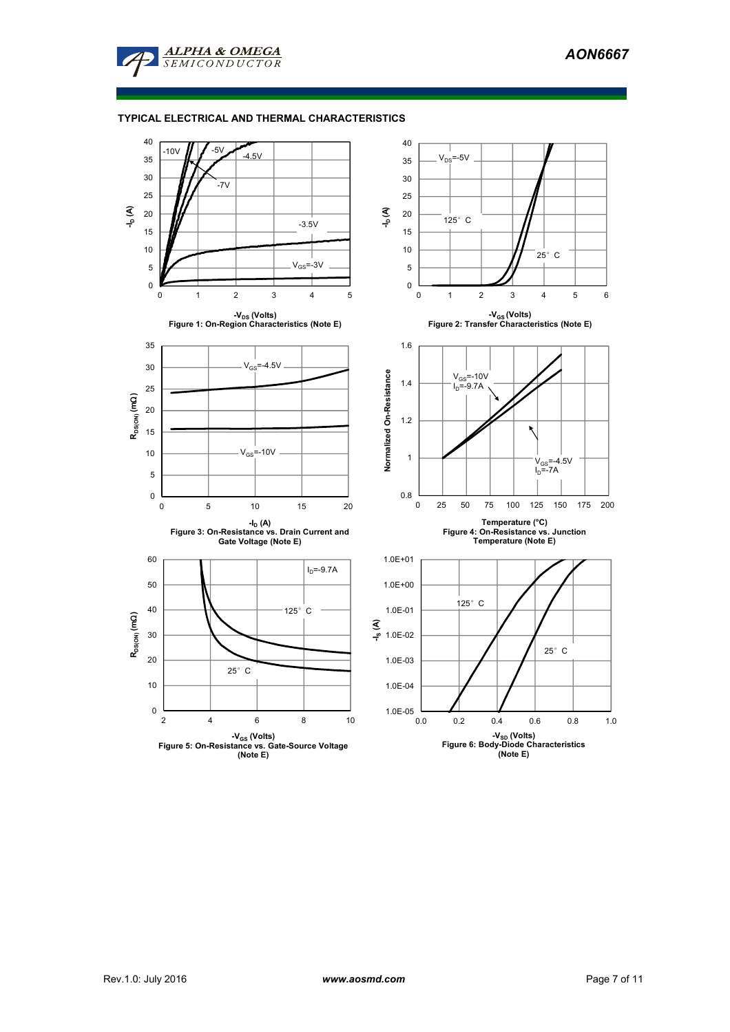

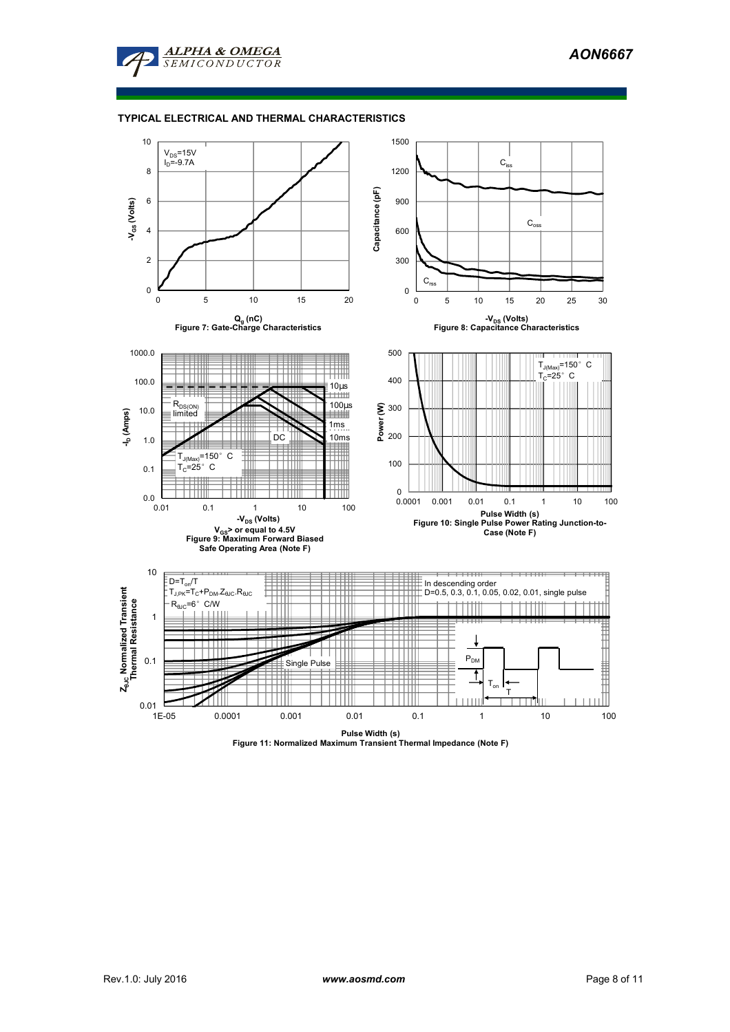

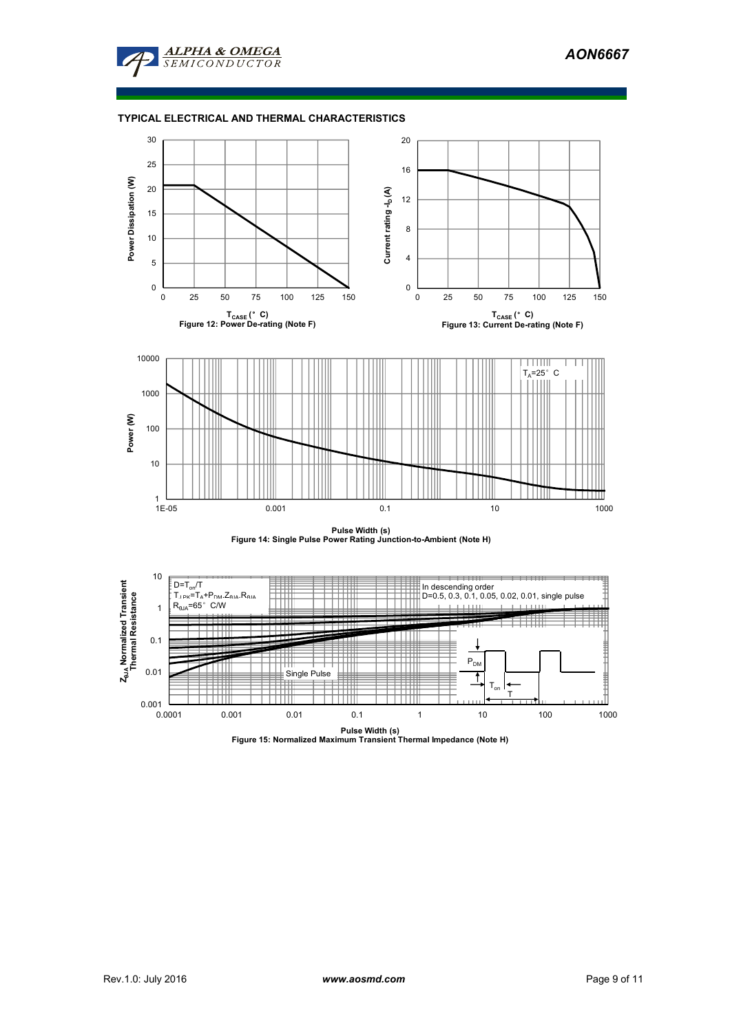





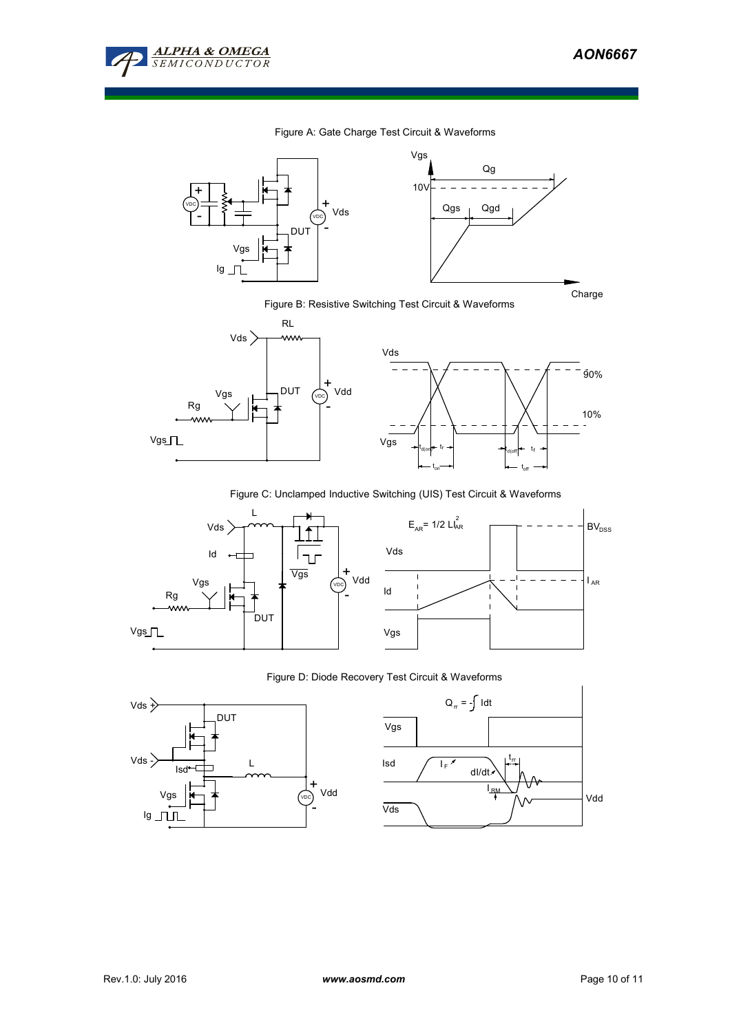

#### Figure A: Gate Charge Test Circuit & Waveforms



Figure B: Resistive Switching Test Circuit & Waveforms



Figure C: Unclamped Inductive Switching (UIS) Test Circuit & Waveforms



# Figure D: Diode Recovery Test Circuit & Waveforms